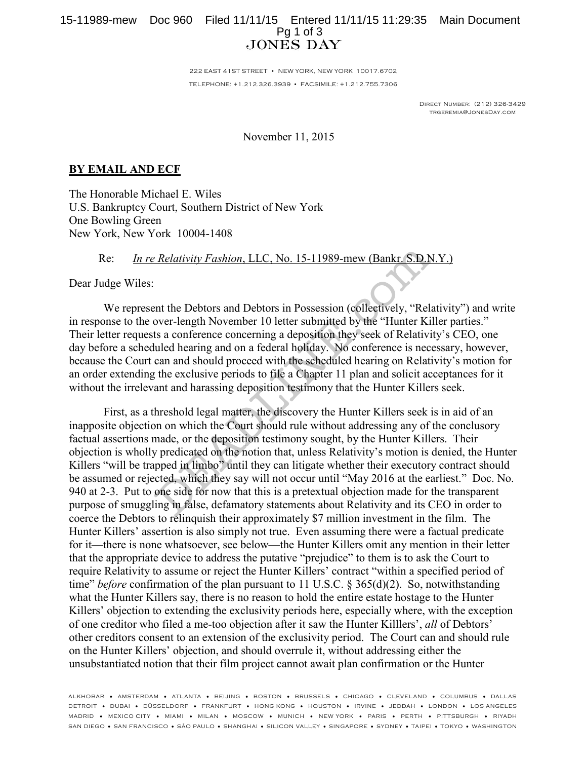## 15-11989-mew Doc 960 Filed 11/11/15 Entered 11/11/15 11:29:35 Main Document Pg 1 of 3 **JONES DAY**

222 EAST 41ST STREET • NEW YORK, NEW YORK 10017.6702 TELEPHONE: +1.212.326.3939 • FACSIMILE: +1.212.755.7306

> Direct Number: (212) 326-3429 trgeremia@JonesDay.com

November 11, 2015

## **BY EMAIL AND ECF**

The Honorable Michael E. Wiles U.S. Bankruptcy Court, Southern District of New York One Bowling Green New York, New York 10004-1408

## Re: *In re Relativity Fashion*, LLC, No. 15-11989-mew (Bankr. S.D.N.Y.)

Dear Judge Wiles:

We represent the Debtors and Debtors in Possession (collectively, "Relativity") and write in response to the over-length November 10 letter submitted by the "Hunter Killer parties." Their letter requests a conference concerning a deposition they seek of Relativity's CEO, one day before a scheduled hearing and on a federal holiday. No conference is necessary, however, because the Court can and should proceed with the scheduled hearing on Relativity's motion for an order extending the exclusive periods to file a Chapter 11 plan and solicit acceptances for it without the irrelevant and harassing deposition testimony that the Hunter Killers seek.

First, as a threshold legal matter, the discovery the Hunter Killers seek is in aid of an inapposite objection on which the Court should rule without addressing any of the conclusory factual assertions made, or the deposition testimony sought, by the Hunter Killers. Their objection is wholly predicated on the notion that, unless Relativity's motion is denied, the Hunter Killers "will be trapped in limbo" until they can litigate whether their executory contract should be assumed or rejected, which they say will not occur until "May 2016 at the earliest." Doc. No. 940 at 2-3. Put to one side for now that this is a pretextual objection made for the transparent purpose of smuggling in false, defamatory statements about Relativity and its CEO in order to coerce the Debtors to relinquish their approximately \$7 million investment in the film. The Hunter Killers' assertion is also simply not true. Even assuming there were a factual predicate for it—there is none whatsoever, see below—the Hunter Killers omit any mention in their letter that the appropriate device to address the putative "prejudice" to them is to ask the Court to require Relativity to assume or reject the Hunter Killers' contract "within a specified period of time" *before* confirmation of the plan pursuant to 11 U.S.C. § 365(d)(2). So, notwithstanding what the Hunter Killers say, there is no reason to hold the entire estate hostage to the Hunter Killers' objection to extending the exclusivity periods here, especially where, with the exception of one creditor who filed a me-too objection after it saw the Hunter Killlers', *all* of Debtors' other creditors consent to an extension of the exclusivity period. The Court can and should rule on the Hunter Killers' objection, and should overrule it, without addressing either the unsubstantiated notion that their film project cannot await plan confirmation or the Hunter *Relativity Fashion, LLC, No. 15-11989-mew (Bankr. S.D.N*<br>
and the Debtors and Debtors in Possession (collectively, "Rel<br>
over-length November 10 letter submitted by the "Hunter Ki<br>
ts a conference concerning a deposition

ALKHOBAR • AMSTERDAM • ATL ANTA • BEIJING • BOSTON • BRUSSELS • CHICAGO • CLEVELAND • COLUMBUS • DALLAS DETROIT • DUBAI • DÜSSELDORF • FRANKFURT • HONG KONG • HOUSTON • IRVINE • JEDDAH • LONDON • LOS ANGELES MADRID • MEXICO CITY • MIAMI • MILAN • MOSCOW • MUNICH • NEW YORK • PARIS • PERTH • PITTSBURGH • RIYADH SAN DIEGO • SAN FRANCISCO • SÃO PAULO • SHANGHAI • SILICON VALLEY • SINGAPORE • SYDNEY • TAIPEI • TOKYO • WASHINGTON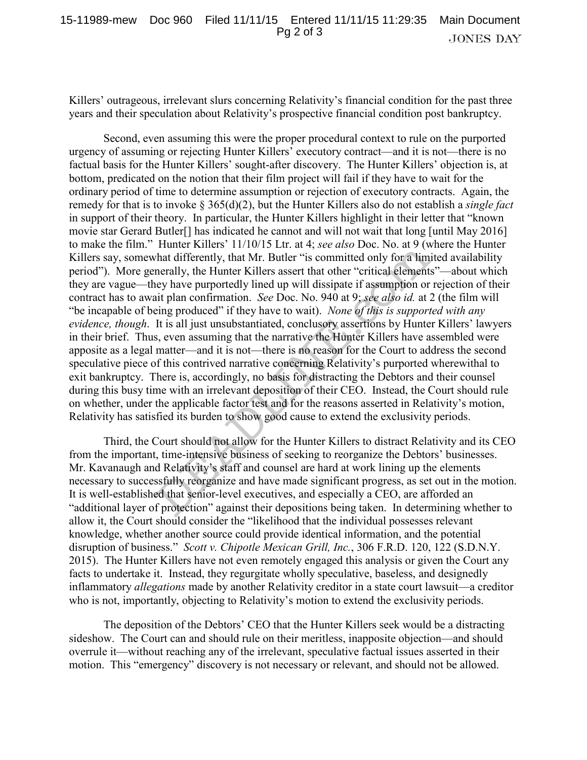Killers' outrageous, irrelevant slurs concerning Relativity's financial condition for the past three years and their speculation about Relativity's prospective financial condition post bankruptcy.

Second, even assuming this were the proper procedural context to rule on the purported urgency of assuming or rejecting Hunter Killers' executory contract—and it is not—there is no factual basis for the Hunter Killers' sought-after discovery. The Hunter Killers' objection is, at bottom, predicated on the notion that their film project will fail if they have to wait for the ordinary period of time to determine assumption or rejection of executory contracts. Again, the remedy for that is to invoke § 365(d)(2), but the Hunter Killers also do not establish a *single fact* in support of their theory. In particular, the Hunter Killers highlight in their letter that "known movie star Gerard Butler[] has indicated he cannot and will not wait that long [until May 2016] to make the film." Hunter Killers' 11/10/15 Ltr. at 4; *see also* Doc. No. at 9 (where the Hunter Killers say, somewhat differently, that Mr. Butler "is committed only for a limited availability period"). More generally, the Hunter Killers assert that other "critical elements"—about which they are vague—they have purportedly lined up will dissipate if assumption or rejection of their contract has to await plan confirmation. *See* Doc. No. 940 at 9; *see also id.* at 2 (the film will "be incapable of being produced" if they have to wait). *None of this is supported with any evidence, though*. It is all just unsubstantiated, conclusory assertions by Hunter Killers' lawyers in their brief. Thus, even assuming that the narrative the Hunter Killers have assembled were apposite as a legal matter—and it is not—there is no reason for the Court to address the second speculative piece of this contrived narrative concerning Relativity's purported wherewithal to exit bankruptcy. There is, accordingly, no basis for distracting the Debtors and their counsel during this busy time with an irrelevant deposition of their CEO. Instead, the Court should rule on whether, under the applicable factor test and for the reasons asserted in Relativity's motion, Relativity has satisfied its burden to show good cause to extend the exclusivity periods. Transferred Kirl 10/13 Ltd. 4, see also Doc. too. at 9 (what differently, that Mr. Butler "is committed only for a 1 (m) and the meaningly, the Hunter Killers assert that other "critical elements hey have purportedly line

Third, the Court should not allow for the Hunter Killers to distract Relativity and its CEO from the important, time-intensive business of seeking to reorganize the Debtors' businesses. Mr. Kavanaugh and Relativity's staff and counsel are hard at work lining up the elements necessary to successfully reorganize and have made significant progress, as set out in the motion. It is well-established that senior-level executives, and especially a CEO, are afforded an "additional layer of protection" against their depositions being taken. In determining whether to allow it, the Court should consider the "likelihood that the individual possesses relevant knowledge, whether another source could provide identical information, and the potential disruption of business." *Scott v. Chipotle Mexican Grill, Inc.*, 306 F.R.D. 120, 122 (S.D.N.Y. 2015). The Hunter Killers have not even remotely engaged this analysis or given the Court any facts to undertake it. Instead, they regurgitate wholly speculative, baseless, and designedly inflammatory *allegations* made by another Relativity creditor in a state court lawsuit—a creditor who is not, importantly, objecting to Relativity's motion to extend the exclusivity periods.

The deposition of the Debtors' CEO that the Hunter Killers seek would be a distracting sideshow. The Court can and should rule on their meritless, inapposite objection—and should overrule it—without reaching any of the irrelevant, speculative factual issues asserted in their motion. This "emergency" discovery is not necessary or relevant, and should not be allowed.